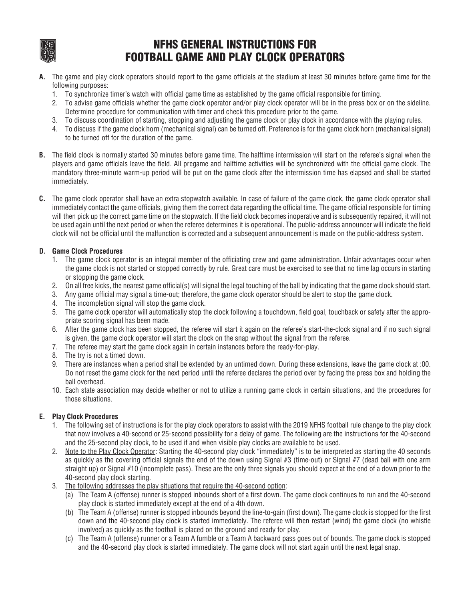

## NFHS GENERAL INSTRUCTIONS FOR FOOTBALL GAME AND PLAY CLOCK OPERATORS

- **A.** The game and play clock operators should report to the game officials at the stadium at least 30 minutes before game time for the following purposes:
	- 1. To synchronize timer's watch with official game time as established by the game official responsible for timing.
	- 2. To advise game officials whether the game clock operator and/or play clock operator will be in the press box or on the sideline. Determine procedure for communication with timer and check this procedure prior to the game.
	- 3. To discuss coordination of starting, stopping and adjusting the game clock or play clock in accordance with the playing rules.
	- 4. To discuss if the game clock horn (mechanical signal) can be turned off. Preference is for the game clock horn (mechanical signal) to be turned off for the duration of the game.
- **B.** The field clock is normally started 30 minutes before game time. The halftime intermission will start on the referee's signal when the players and game officials leave the field. All pregame and halftime activities will be synchronized with the official game clock. The mandatory three-minute warm-up period will be put on the game clock after the intermission time has elapsed and shall be started immediately.
- **C.** The game clock operator shall have an extra stopwatch available. In case of failure of the game clock, the game clock operator shall immediately contact the game officials, giving them the correct data regarding the official time. The game official responsible for timing will then pick up the correct game time on the stopwatch. If the field clock becomes inoperative and is subsequently repaired, it will not be used again until the next period or when the referee determines it is operational. The public-address announcer will indicate the field clock will not be official until the malfunction is corrected and a subsequent announcement is made on the public-address system.

## **D. Game Clock Procedures**

- 1. The game clock operator is an integral member of the officiating crew and game administration. Unfair advantages occur when the game clock is not started or stopped correctly by rule. Great care must be exercised to see that no time lag occurs in starting or stopping the game clock.
- 2. On all free kicks, the nearest game official(s) will signal the legal touching of the ball by indicating that the game clock should start.
- 3. Any game official may signal a time-out; therefore, the game clock operator should be alert to stop the game clock.
- 4. The incompletion signal will stop the game clock.
- 5. The game clock operator will automatically stop the clock following a touchdown, field goal, touchback or safety after the appropriate scoring signal has been made.
- 6. After the game clock has been stopped, the referee will start it again on the referee's start-the-clock signal and if no such signal is given, the game clock operator will start the clock on the snap without the signal from the referee.
- 7. The referee may start the game clock again in certain instances before the ready-for-play.
- 8. The try is not a timed down.
- 9. There are instances when a period shall be extended by an untimed down. During these extensions, leave the game clock at :00. Do not reset the game clock for the next period until the referee declares the period over by facing the press box and holding the ball overhead.
- 10. Each state association may decide whether or not to utilize a running game clock in certain situations, and the procedures for those situations.

## **E. Play Clock Procedures**

- 1. The following set of instructions is for the play clock operators to assist with the 2019 NFHS football rule change to the play clock that now involves a 40-second or 25-second possibility for a delay of game. The following are the instructions for the 40-second and the 25-second play clock, to be used if and when visible play clocks are available to be used.
- 2. Note to the Play Clock Operator: Starting the 40-second play clock "immediately" is to be interpreted as starting the 40 seconds as quickly as the covering official signals the end of the down using Signal #3 (time-out) or Signal #7 (dead ball with one arm straight up) or Signal #10 (incomplete pass). These are the only three signals you should expect at the end of a down prior to the 40-second play clock starting.
- 3. The following addresses the play situations that require the 40-second option:
	- (a) The Team A (offense) runner is stopped inbounds short of a first down. The game clock continues to run and the 40-second play clock is started immediately except at the end of a 4th down.
	- (b) The Team A (offense) runner is stopped inbounds beyond the line-to-gain (first down). The game clock is stopped for the first down and the 40-second play clock is started immediately. The referee will then restart (wind) the game clock (no whistle involved) as quickly as the football is placed on the ground and ready for play.
	- (c) The Team A (offense) runner or a Team A fumble or a Team A backward pass goes out of bounds. The game clock is stopped and the 40-second play clock is started immediately. The game clock will not start again until the next legal snap.